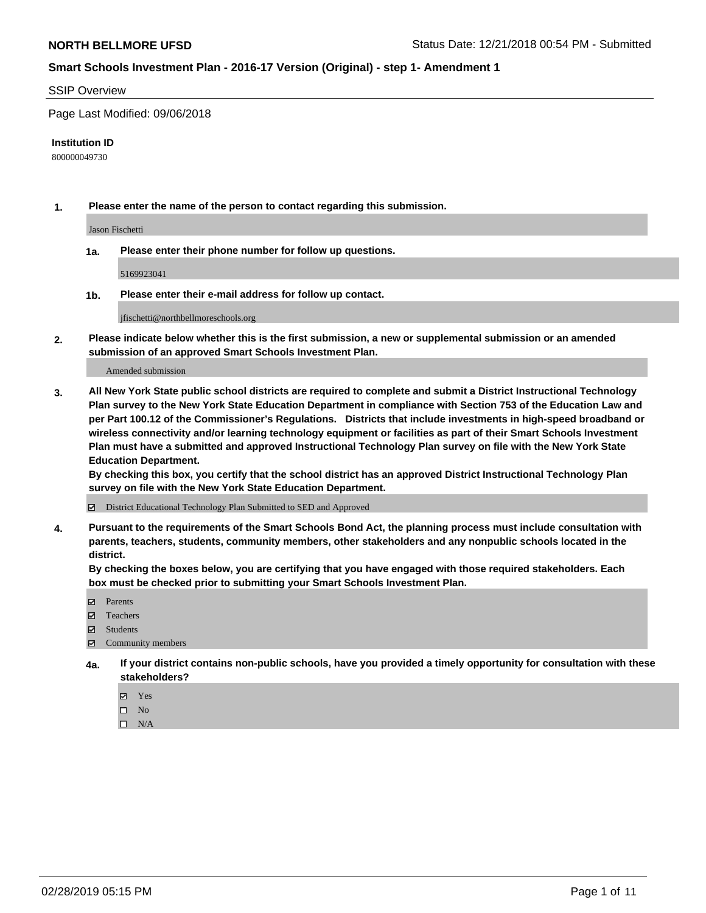#### SSIP Overview

Page Last Modified: 09/06/2018

#### **Institution ID**

800000049730

**1. Please enter the name of the person to contact regarding this submission.**

Jason Fischetti

**1a. Please enter their phone number for follow up questions.**

5169923041

**1b. Please enter their e-mail address for follow up contact.**

jfischetti@northbellmoreschools.org

**2. Please indicate below whether this is the first submission, a new or supplemental submission or an amended submission of an approved Smart Schools Investment Plan.**

Amended submission

**3. All New York State public school districts are required to complete and submit a District Instructional Technology Plan survey to the New York State Education Department in compliance with Section 753 of the Education Law and per Part 100.12 of the Commissioner's Regulations. Districts that include investments in high-speed broadband or wireless connectivity and/or learning technology equipment or facilities as part of their Smart Schools Investment Plan must have a submitted and approved Instructional Technology Plan survey on file with the New York State Education Department.** 

**By checking this box, you certify that the school district has an approved District Instructional Technology Plan survey on file with the New York State Education Department.**

District Educational Technology Plan Submitted to SED and Approved

**4. Pursuant to the requirements of the Smart Schools Bond Act, the planning process must include consultation with parents, teachers, students, community members, other stakeholders and any nonpublic schools located in the district.** 

**By checking the boxes below, you are certifying that you have engaged with those required stakeholders. Each box must be checked prior to submitting your Smart Schools Investment Plan.**

- **□** Parents
- Teachers
- Students
- $\boxtimes$  Community members
- **4a. If your district contains non-public schools, have you provided a timely opportunity for consultation with these stakeholders?**
	- Yes
	- $\qquad \qquad$  No
	- $\square$  N/A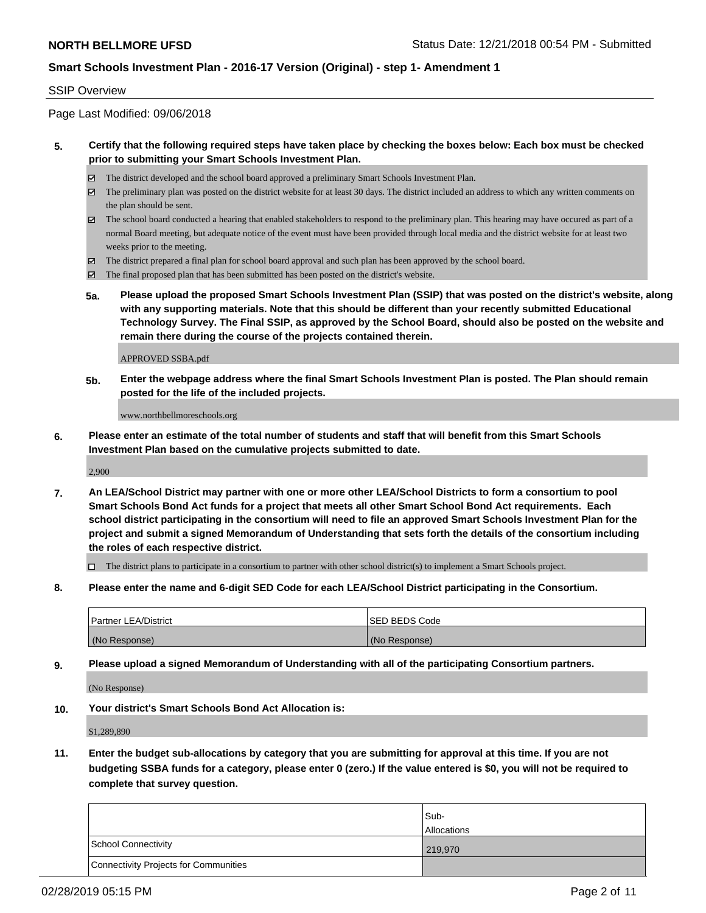### SSIP Overview

Page Last Modified: 09/06/2018

## **5. Certify that the following required steps have taken place by checking the boxes below: Each box must be checked prior to submitting your Smart Schools Investment Plan.**

- The district developed and the school board approved a preliminary Smart Schools Investment Plan.
- $\boxtimes$  The preliminary plan was posted on the district website for at least 30 days. The district included an address to which any written comments on the plan should be sent.
- $\boxtimes$  The school board conducted a hearing that enabled stakeholders to respond to the preliminary plan. This hearing may have occured as part of a normal Board meeting, but adequate notice of the event must have been provided through local media and the district website for at least two weeks prior to the meeting.
- The district prepared a final plan for school board approval and such plan has been approved by the school board.
- $\boxtimes$  The final proposed plan that has been submitted has been posted on the district's website.
- **5a. Please upload the proposed Smart Schools Investment Plan (SSIP) that was posted on the district's website, along with any supporting materials. Note that this should be different than your recently submitted Educational Technology Survey. The Final SSIP, as approved by the School Board, should also be posted on the website and remain there during the course of the projects contained therein.**

APPROVED SSBA.pdf

**5b. Enter the webpage address where the final Smart Schools Investment Plan is posted. The Plan should remain posted for the life of the included projects.**

www.northbellmoreschools.org

**6. Please enter an estimate of the total number of students and staff that will benefit from this Smart Schools Investment Plan based on the cumulative projects submitted to date.**

2,900

**7. An LEA/School District may partner with one or more other LEA/School Districts to form a consortium to pool Smart Schools Bond Act funds for a project that meets all other Smart School Bond Act requirements. Each school district participating in the consortium will need to file an approved Smart Schools Investment Plan for the project and submit a signed Memorandum of Understanding that sets forth the details of the consortium including the roles of each respective district.**

 $\Box$  The district plans to participate in a consortium to partner with other school district(s) to implement a Smart Schools project.

**8. Please enter the name and 6-digit SED Code for each LEA/School District participating in the Consortium.**

| <b>Partner LEA/District</b> | <b>ISED BEDS Code</b> |
|-----------------------------|-----------------------|
| (No Response)               | (No Response)         |

**9. Please upload a signed Memorandum of Understanding with all of the participating Consortium partners.**

(No Response)

**10. Your district's Smart Schools Bond Act Allocation is:**

\$1,289,890

**11. Enter the budget sub-allocations by category that you are submitting for approval at this time. If you are not budgeting SSBA funds for a category, please enter 0 (zero.) If the value entered is \$0, you will not be required to complete that survey question.**

|                                              | Sub-               |
|----------------------------------------------|--------------------|
|                                              | <b>Allocations</b> |
| <b>School Connectivity</b>                   | 219,970            |
| <b>Connectivity Projects for Communities</b> |                    |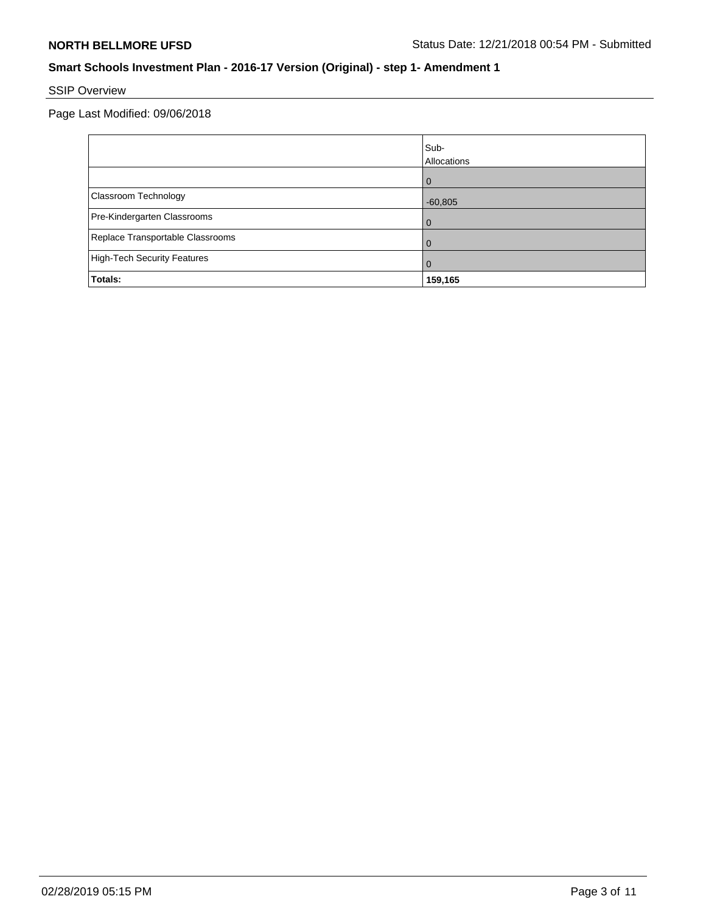# SSIP Overview

Page Last Modified: 09/06/2018

|                                    | Sub-<br>Allocations |
|------------------------------------|---------------------|
|                                    | $\Omega$            |
| Classroom Technology               | $-60,805$           |
| Pre-Kindergarten Classrooms        | 0                   |
| Replace Transportable Classrooms   | O                   |
| <b>High-Tech Security Features</b> | 0                   |
| Totals:                            | 159,165             |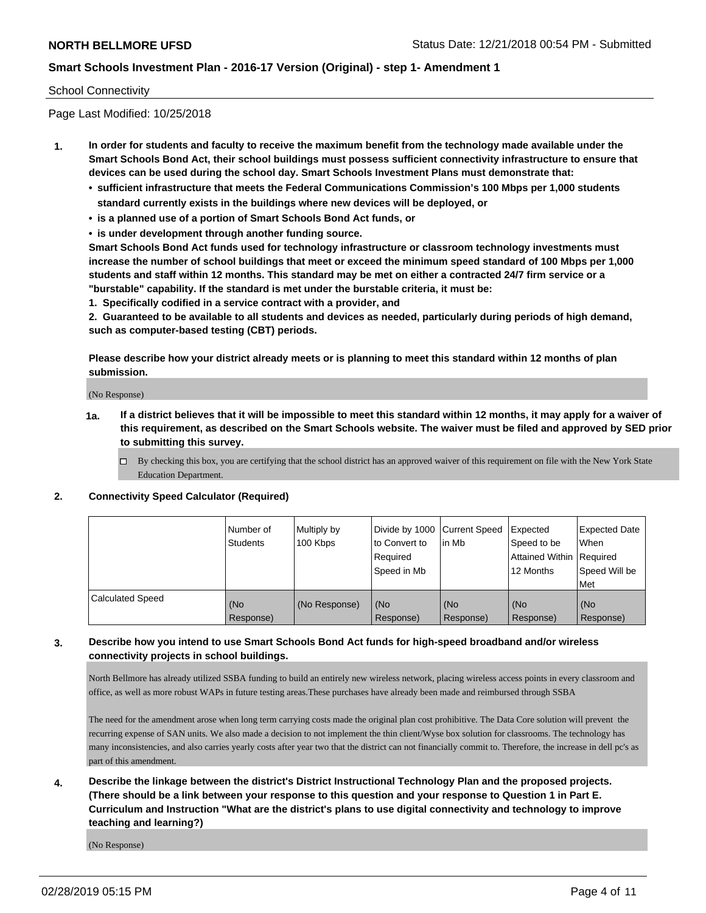## School Connectivity

Page Last Modified: 10/25/2018

- **1. In order for students and faculty to receive the maximum benefit from the technology made available under the Smart Schools Bond Act, their school buildings must possess sufficient connectivity infrastructure to ensure that devices can be used during the school day. Smart Schools Investment Plans must demonstrate that:**
	- **• sufficient infrastructure that meets the Federal Communications Commission's 100 Mbps per 1,000 students standard currently exists in the buildings where new devices will be deployed, or**
	- **• is a planned use of a portion of Smart Schools Bond Act funds, or**
	- **• is under development through another funding source.**

**Smart Schools Bond Act funds used for technology infrastructure or classroom technology investments must increase the number of school buildings that meet or exceed the minimum speed standard of 100 Mbps per 1,000 students and staff within 12 months. This standard may be met on either a contracted 24/7 firm service or a "burstable" capability. If the standard is met under the burstable criteria, it must be:**

**1. Specifically codified in a service contract with a provider, and**

**2. Guaranteed to be available to all students and devices as needed, particularly during periods of high demand, such as computer-based testing (CBT) periods.**

**Please describe how your district already meets or is planning to meet this standard within 12 months of plan submission.**

(No Response)

- **1a. If a district believes that it will be impossible to meet this standard within 12 months, it may apply for a waiver of this requirement, as described on the Smart Schools website. The waiver must be filed and approved by SED prior to submitting this survey.**
	- By checking this box, you are certifying that the school district has an approved waiver of this requirement on file with the New York State Education Department.

## **2. Connectivity Speed Calculator (Required)**

|                         | l Number of<br>Students | Multiply by<br>100 Kbps | Divide by 1000 Current Speed<br>to Convert to<br>Reauired<br>Speed in Mb | lin Mb           | Expected<br>Speed to be<br>Attained Within Required<br>12 Months | <b>Expected Date</b><br>When<br>Speed Will be<br>Met |
|-------------------------|-------------------------|-------------------------|--------------------------------------------------------------------------|------------------|------------------------------------------------------------------|------------------------------------------------------|
| <b>Calculated Speed</b> | (No<br>Response)        | (No Response)           | (No<br>Response)                                                         | (No<br>Response) | (No<br>Response)                                                 | (No<br>Response)                                     |

# **3. Describe how you intend to use Smart Schools Bond Act funds for high-speed broadband and/or wireless connectivity projects in school buildings.**

North Bellmore has already utilized SSBA funding to build an entirely new wireless network, placing wireless access points in every classroom and office, as well as more robust WAPs in future testing areas.These purchases have already been made and reimbursed through SSBA

The need for the amendment arose when long term carrying costs made the original plan cost prohibitive. The Data Core solution will prevent the recurring expense of SAN units. We also made a decision to not implement the thin client/Wyse box solution for classrooms. The technology has many inconsistencies, and also carries yearly costs after year two that the district can not financially commit to. Therefore, the increase in dell pc's as part of this amendment.

**4. Describe the linkage between the district's District Instructional Technology Plan and the proposed projects. (There should be a link between your response to this question and your response to Question 1 in Part E. Curriculum and Instruction "What are the district's plans to use digital connectivity and technology to improve teaching and learning?)**

(No Response)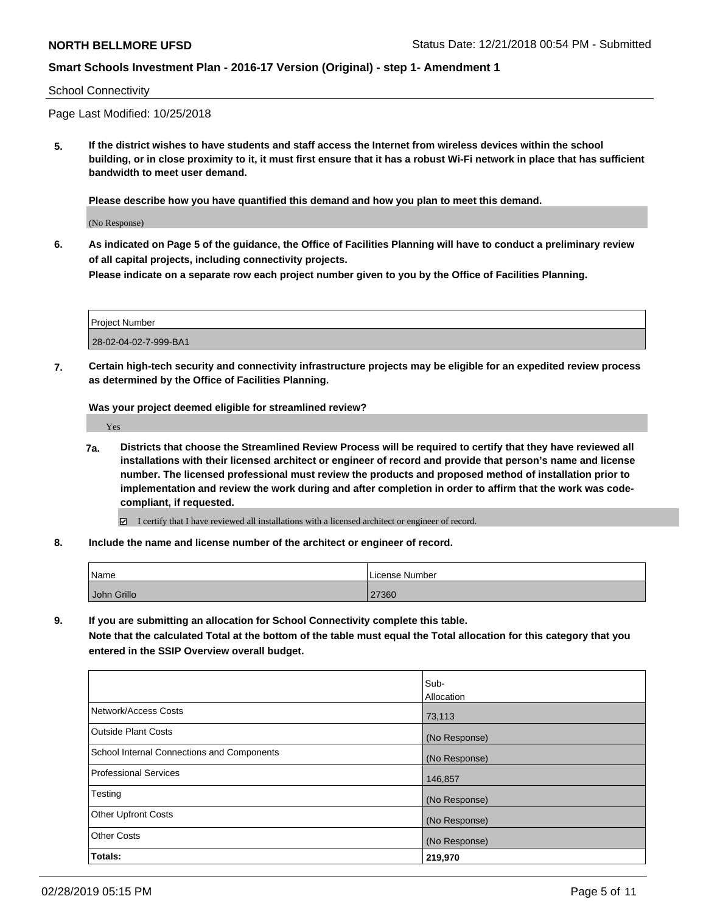## School Connectivity

Page Last Modified: 10/25/2018

**5. If the district wishes to have students and staff access the Internet from wireless devices within the school building, or in close proximity to it, it must first ensure that it has a robust Wi-Fi network in place that has sufficient bandwidth to meet user demand.**

**Please describe how you have quantified this demand and how you plan to meet this demand.**

(No Response)

**6. As indicated on Page 5 of the guidance, the Office of Facilities Planning will have to conduct a preliminary review of all capital projects, including connectivity projects.**

**Please indicate on a separate row each project number given to you by the Office of Facilities Planning.**

| Project Number        |  |
|-----------------------|--|
| 28-02-04-02-7-999-BA1 |  |

**7. Certain high-tech security and connectivity infrastructure projects may be eligible for an expedited review process as determined by the Office of Facilities Planning.**

**Was your project deemed eligible for streamlined review?**

Yes

**7a. Districts that choose the Streamlined Review Process will be required to certify that they have reviewed all installations with their licensed architect or engineer of record and provide that person's name and license number. The licensed professional must review the products and proposed method of installation prior to implementation and review the work during and after completion in order to affirm that the work was codecompliant, if requested.**

I certify that I have reviewed all installations with a licensed architect or engineer of record.

**8. Include the name and license number of the architect or engineer of record.**

| Name        | License Number |
|-------------|----------------|
| John Grillo | 27360          |

**9. If you are submitting an allocation for School Connectivity complete this table.**

**Note that the calculated Total at the bottom of the table must equal the Total allocation for this category that you entered in the SSIP Overview overall budget.** 

|                                                   | lSub-             |
|---------------------------------------------------|-------------------|
|                                                   | <b>Allocation</b> |
| Network/Access Costs                              | 73,113            |
| <b>Outside Plant Costs</b>                        | (No Response)     |
| <b>School Internal Connections and Components</b> | (No Response)     |
| <b>Professional Services</b>                      | 146,857           |
| Testing                                           | (No Response)     |
| <b>Other Upfront Costs</b>                        | (No Response)     |
| <b>Other Costs</b>                                | (No Response)     |
| Totals:                                           | 219,970           |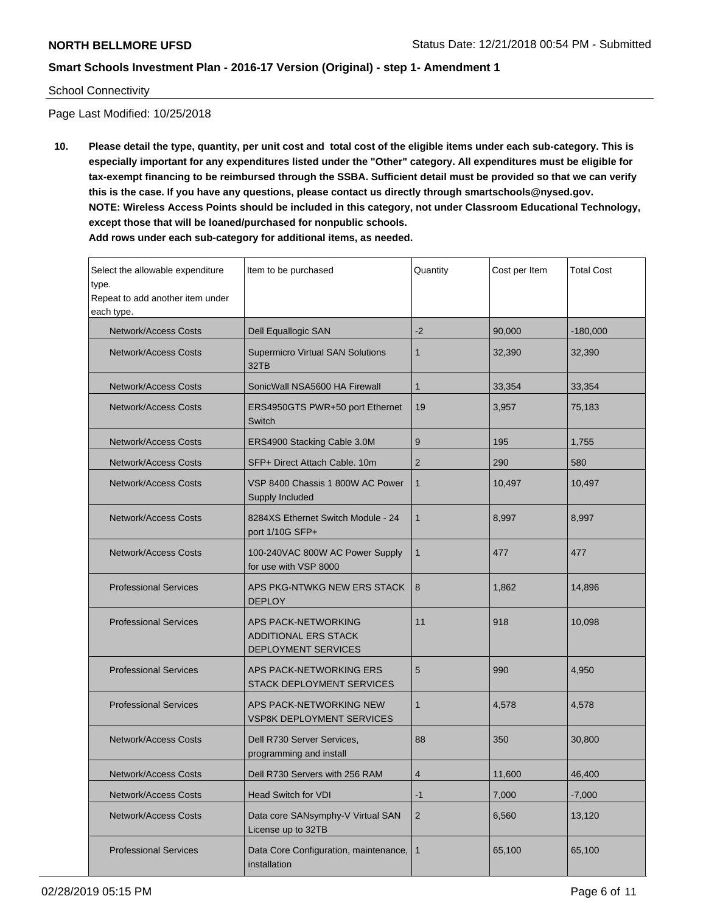## School Connectivity

Page Last Modified: 10/25/2018

**10. Please detail the type, quantity, per unit cost and total cost of the eligible items under each sub-category. This is especially important for any expenditures listed under the "Other" category. All expenditures must be eligible for tax-exempt financing to be reimbursed through the SSBA. Sufficient detail must be provided so that we can verify this is the case. If you have any questions, please contact us directly through smartschools@nysed.gov. NOTE: Wireless Access Points should be included in this category, not under Classroom Educational Technology, except those that will be loaned/purchased for nonpublic schools. Add rows under each sub-category for additional items, as needed.**

Select the allowable expenditure type. Repeat to add another item under each type. Item to be purchased  $\sqrt{$ Quantity  $\sqrt{}$  Cost per Item  $\sqrt{}$  Total Cost Network/Access Costs Dell Equallogic SAN  $-2$  90,000 -180,000 Network/Access Costs <br>
Supermicro Virtual SAN Solutions 32TB 1 32,390 32,390 Network/Access Costs SonicWall NSA5600 HA Firewall 1 33,354 33,354 33,354 33,354 Network/Access Costs | ERS4950GTS PWR+50 port Ethernet Switch 19 3,957 75,183 Network/Access Costs ERS4900 Stacking Cable 3.0M 9 195 1,755 Network/Access Costs SFP+ Direct Attach Cable. 10m 2 290 380 Network/Access Costs | VSP 8400 Chassis 1 800W AC Power Supply Included 1 10,497 10,497 Network/Access Costs **8284XS** Ethernet Switch Module - 24 port 1/10G SFP+ 1 8,997 8,997 Network/Access Costs | 100-240VAC 800W AC Power Supply for use with VSP 8000 1 477 477 Professional Services **APS PKG-NTWKG NEW ERS STACK** DEPLOY 8 1.862 14.896 Professional Services **APS PACK-NETWORKING** ADDITIONAL ERS STACK DEPLOYMENT SERVICES 11 918 10,098 Professional Services **APS PACK-NETWORKING ERS** STACK DEPLOYMENT SERVICES 5 990 4,950 Professional Services **APS PACK-NETWORKING NEW** VSP8K DEPLOYMENT SERVICES 1 4,578 4,578 Network/Access Costs | Dell R730 Server Services, programming and install 88 350 30,800 Network/Access Costs | Dell R730 Servers with 256 RAM | 4 11,600 | 46,400 Network/Access Costs Head Switch for VDI -1 7,000 | -7,000 | -7,000 Network/Access Costs | Data core SANsymphy-V Virtual SAN License up to 32TB 2 6,560 13,120 Professional Services | Data Core Configuration, maintenance, installation 1 65,100 65,100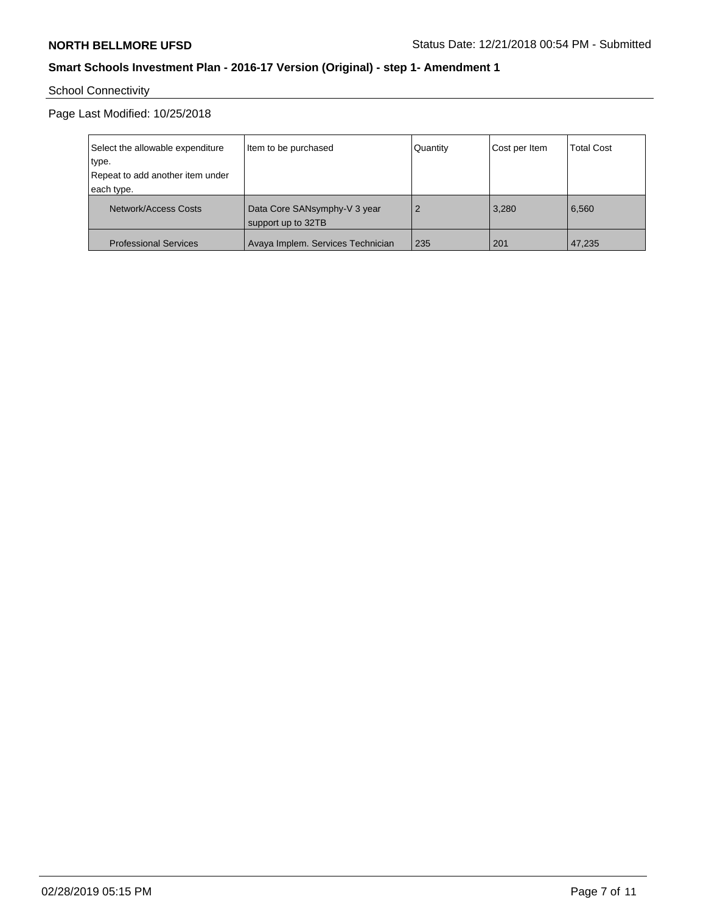# School Connectivity

Page Last Modified: 10/25/2018

| Select the allowable expenditure | Item to be purchased                               | Quantity       | Cost per Item | <b>Total Cost</b> |
|----------------------------------|----------------------------------------------------|----------------|---------------|-------------------|
| type.                            |                                                    |                |               |                   |
| Repeat to add another item under |                                                    |                |               |                   |
| each type.                       |                                                    |                |               |                   |
| Network/Access Costs             | Data Core SANsymphy-V 3 year<br>support up to 32TB | $\overline{2}$ | 3,280         | 6,560             |
| <b>Professional Services</b>     | Avaya Implem. Services Technician                  | 235            | 201           | 47.235            |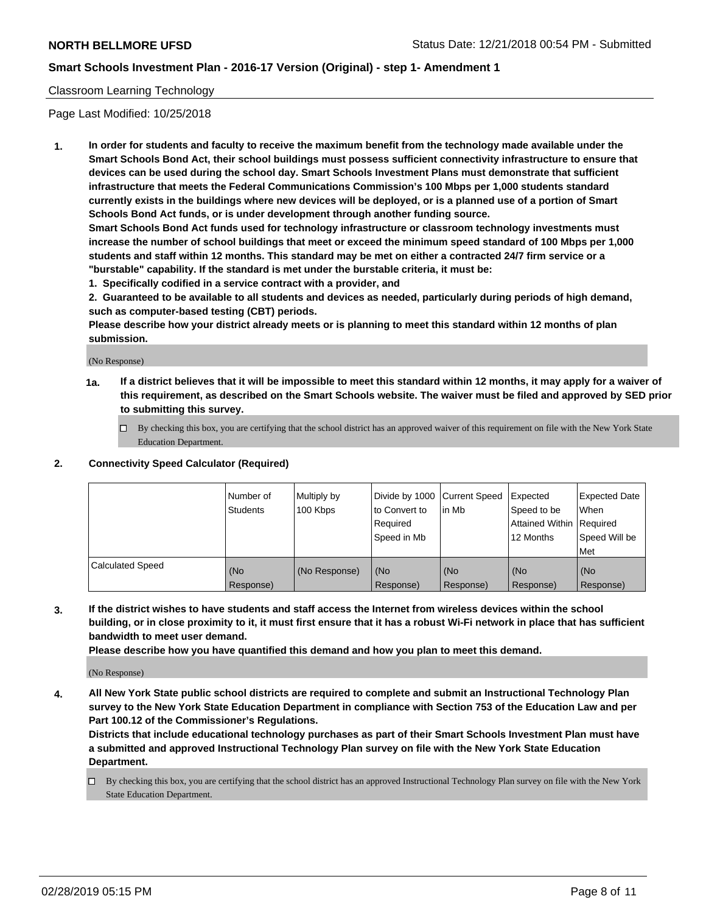## Classroom Learning Technology

Page Last Modified: 10/25/2018

**1. In order for students and faculty to receive the maximum benefit from the technology made available under the Smart Schools Bond Act, their school buildings must possess sufficient connectivity infrastructure to ensure that devices can be used during the school day. Smart Schools Investment Plans must demonstrate that sufficient infrastructure that meets the Federal Communications Commission's 100 Mbps per 1,000 students standard currently exists in the buildings where new devices will be deployed, or is a planned use of a portion of Smart Schools Bond Act funds, or is under development through another funding source.**

**Smart Schools Bond Act funds used for technology infrastructure or classroom technology investments must increase the number of school buildings that meet or exceed the minimum speed standard of 100 Mbps per 1,000 students and staff within 12 months. This standard may be met on either a contracted 24/7 firm service or a "burstable" capability. If the standard is met under the burstable criteria, it must be:**

**1. Specifically codified in a service contract with a provider, and**

**2. Guaranteed to be available to all students and devices as needed, particularly during periods of high demand, such as computer-based testing (CBT) periods.**

**Please describe how your district already meets or is planning to meet this standard within 12 months of plan submission.**

(No Response)

- **1a. If a district believes that it will be impossible to meet this standard within 12 months, it may apply for a waiver of this requirement, as described on the Smart Schools website. The waiver must be filed and approved by SED prior to submitting this survey.**
	- By checking this box, you are certifying that the school district has an approved waiver of this requirement on file with the New York State Education Department.

## **2. Connectivity Speed Calculator (Required)**

|                         | Number of<br>Students | Multiply by<br>100 Kbps | Divide by 1000 Current Speed<br>to Convert to<br>Required<br>l Speed in Mb | lin Mb           | <b>Expected</b><br>Speed to be<br><b>Attained Within Required</b><br>12 Months | <b>Expected Date</b><br>When<br>Speed Will be<br><b>Met</b> |
|-------------------------|-----------------------|-------------------------|----------------------------------------------------------------------------|------------------|--------------------------------------------------------------------------------|-------------------------------------------------------------|
| <b>Calculated Speed</b> | (No<br>Response)      | (No Response)           | (No<br>Response)                                                           | (No<br>Response) | l (No<br>Response)                                                             | (No<br>Response)                                            |

**3. If the district wishes to have students and staff access the Internet from wireless devices within the school building, or in close proximity to it, it must first ensure that it has a robust Wi-Fi network in place that has sufficient bandwidth to meet user demand.**

**Please describe how you have quantified this demand and how you plan to meet this demand.**

(No Response)

**4. All New York State public school districts are required to complete and submit an Instructional Technology Plan survey to the New York State Education Department in compliance with Section 753 of the Education Law and per Part 100.12 of the Commissioner's Regulations.**

**Districts that include educational technology purchases as part of their Smart Schools Investment Plan must have a submitted and approved Instructional Technology Plan survey on file with the New York State Education Department.**

By checking this box, you are certifying that the school district has an approved Instructional Technology Plan survey on file with the New York State Education Department.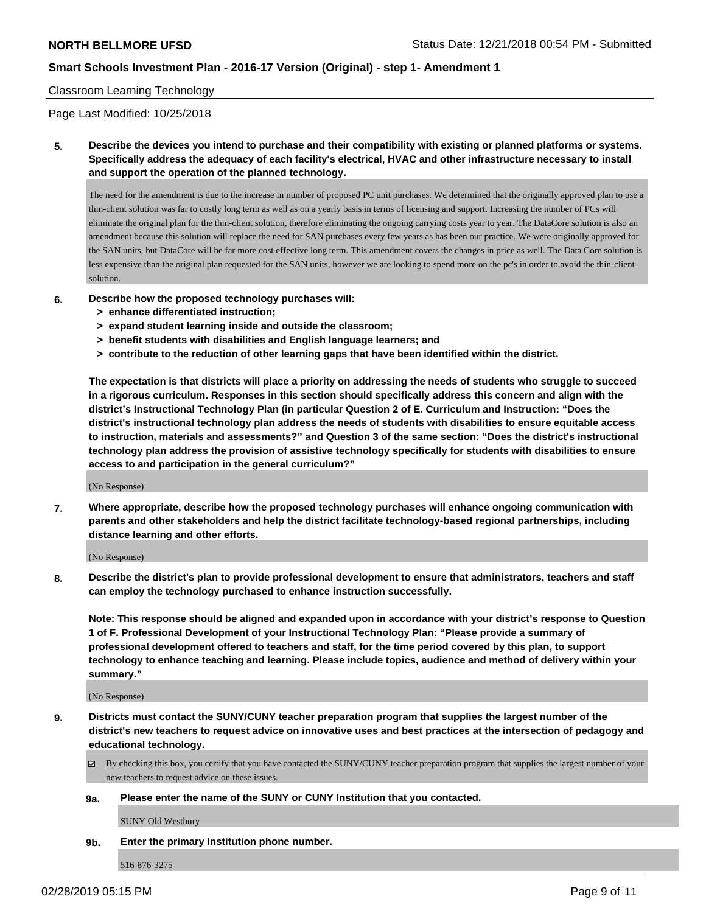## Classroom Learning Technology

Page Last Modified: 10/25/2018

**5. Describe the devices you intend to purchase and their compatibility with existing or planned platforms or systems. Specifically address the adequacy of each facility's electrical, HVAC and other infrastructure necessary to install and support the operation of the planned technology.**

The need for the amendment is due to the increase in number of proposed PC unit purchases. We determined that the originally approved plan to use a thin-client solution was far to costly long term as well as on a yearly basis in terms of licensing and support. Increasing the number of PCs will eliminate the original plan for the thin-client solution, therefore eliminating the ongoing carrying costs year to year. The DataCore solution is also an amendment because this solution will replace the need for SAN purchases every few years as has been our practice. We were originally approved for the SAN units, but DataCore will be far more cost effective long term. This amendment covers the changes in price as well. The Data Core solution is less expensive than the original plan requested for the SAN units, however we are looking to spend more on the pc's in order to avoid the thin-client solution.

- **6. Describe how the proposed technology purchases will:**
	- **> enhance differentiated instruction;**
	- **> expand student learning inside and outside the classroom;**
	- **> benefit students with disabilities and English language learners; and**
	- **> contribute to the reduction of other learning gaps that have been identified within the district.**

**The expectation is that districts will place a priority on addressing the needs of students who struggle to succeed in a rigorous curriculum. Responses in this section should specifically address this concern and align with the district's Instructional Technology Plan (in particular Question 2 of E. Curriculum and Instruction: "Does the district's instructional technology plan address the needs of students with disabilities to ensure equitable access to instruction, materials and assessments?" and Question 3 of the same section: "Does the district's instructional technology plan address the provision of assistive technology specifically for students with disabilities to ensure access to and participation in the general curriculum?"**

(No Response)

**7. Where appropriate, describe how the proposed technology purchases will enhance ongoing communication with parents and other stakeholders and help the district facilitate technology-based regional partnerships, including distance learning and other efforts.**

(No Response)

**8. Describe the district's plan to provide professional development to ensure that administrators, teachers and staff can employ the technology purchased to enhance instruction successfully.**

**Note: This response should be aligned and expanded upon in accordance with your district's response to Question 1 of F. Professional Development of your Instructional Technology Plan: "Please provide a summary of professional development offered to teachers and staff, for the time period covered by this plan, to support technology to enhance teaching and learning. Please include topics, audience and method of delivery within your summary."**

(No Response)

- **9. Districts must contact the SUNY/CUNY teacher preparation program that supplies the largest number of the district's new teachers to request advice on innovative uses and best practices at the intersection of pedagogy and educational technology.**
	- $\boxtimes$  By checking this box, you certify that you have contacted the SUNY/CUNY teacher preparation program that supplies the largest number of your new teachers to request advice on these issues.

#### **9a. Please enter the name of the SUNY or CUNY Institution that you contacted.**

SUNY Old Westbury

**9b. Enter the primary Institution phone number.**

516-876-3275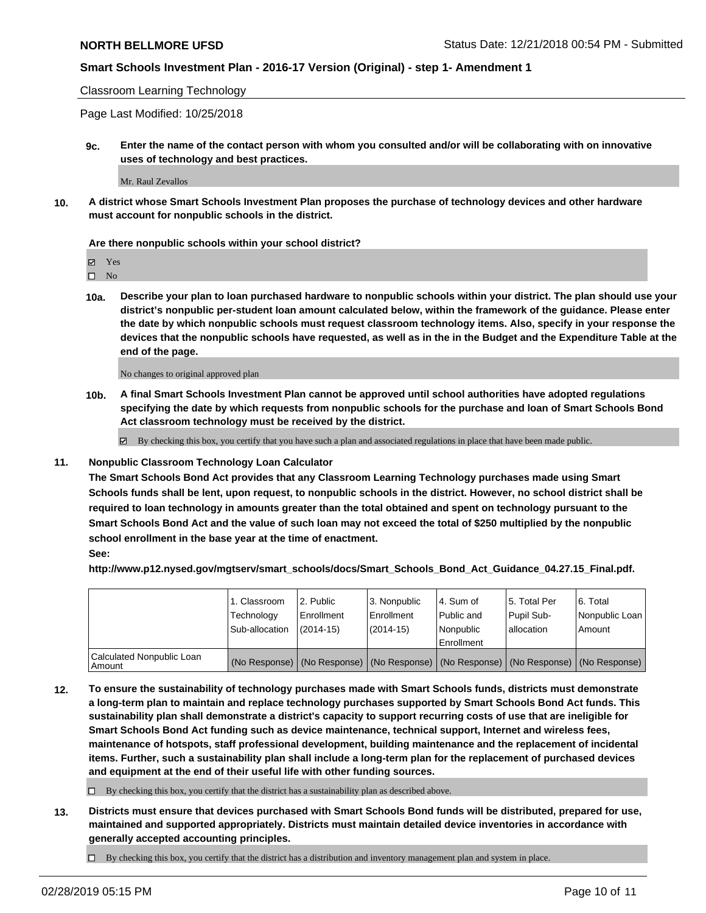Classroom Learning Technology

Page Last Modified: 10/25/2018

**9c. Enter the name of the contact person with whom you consulted and/or will be collaborating with on innovative uses of technology and best practices.**

Mr. Raul Zevallos

**10. A district whose Smart Schools Investment Plan proposes the purchase of technology devices and other hardware must account for nonpublic schools in the district.**

#### **Are there nonpublic schools within your school district?**

Yes

 $\square$  No

**10a. Describe your plan to loan purchased hardware to nonpublic schools within your district. The plan should use your district's nonpublic per-student loan amount calculated below, within the framework of the guidance. Please enter the date by which nonpublic schools must request classroom technology items. Also, specify in your response the devices that the nonpublic schools have requested, as well as in the in the Budget and the Expenditure Table at the end of the page.**

No changes to original approved plan

**10b. A final Smart Schools Investment Plan cannot be approved until school authorities have adopted regulations specifying the date by which requests from nonpublic schools for the purchase and loan of Smart Schools Bond Act classroom technology must be received by the district.**

 $\boxtimes$  By checking this box, you certify that you have such a plan and associated regulations in place that have been made public.

#### **11. Nonpublic Classroom Technology Loan Calculator**

**The Smart Schools Bond Act provides that any Classroom Learning Technology purchases made using Smart Schools funds shall be lent, upon request, to nonpublic schools in the district. However, no school district shall be required to loan technology in amounts greater than the total obtained and spent on technology pursuant to the Smart Schools Bond Act and the value of such loan may not exceed the total of \$250 multiplied by the nonpublic school enrollment in the base year at the time of enactment.**

**See:**

**http://www.p12.nysed.gov/mgtserv/smart\_schools/docs/Smart\_Schools\_Bond\_Act\_Guidance\_04.27.15\_Final.pdf.**

|                                       | 11. Classroom<br>Technology<br>Sub-allocation | l 2. Public<br>Enrollment<br>$(2014-15)$ | 3. Nonpublic<br>l Enrollment<br>$(2014-15)$ | l 4. Sum of<br>Public and<br><i>Nonpublic</i><br>Enrollment | l 5. Total Per<br>Pupil Sub-<br>l allocation                                                  | 6. Total<br>Nonpublic Loan<br>Amount |
|---------------------------------------|-----------------------------------------------|------------------------------------------|---------------------------------------------|-------------------------------------------------------------|-----------------------------------------------------------------------------------------------|--------------------------------------|
| Calculated Nonpublic Loan<br>l Amount |                                               |                                          |                                             |                                                             | (No Response)   (No Response)   (No Response)   (No Response)   (No Response)   (No Response) |                                      |

**12. To ensure the sustainability of technology purchases made with Smart Schools funds, districts must demonstrate a long-term plan to maintain and replace technology purchases supported by Smart Schools Bond Act funds. This sustainability plan shall demonstrate a district's capacity to support recurring costs of use that are ineligible for Smart Schools Bond Act funding such as device maintenance, technical support, Internet and wireless fees, maintenance of hotspots, staff professional development, building maintenance and the replacement of incidental items. Further, such a sustainability plan shall include a long-term plan for the replacement of purchased devices and equipment at the end of their useful life with other funding sources.**

 $\Box$  By checking this box, you certify that the district has a sustainability plan as described above.

**13. Districts must ensure that devices purchased with Smart Schools Bond funds will be distributed, prepared for use, maintained and supported appropriately. Districts must maintain detailed device inventories in accordance with generally accepted accounting principles.**

 $\Box$  By checking this box, you certify that the district has a distribution and inventory management plan and system in place.